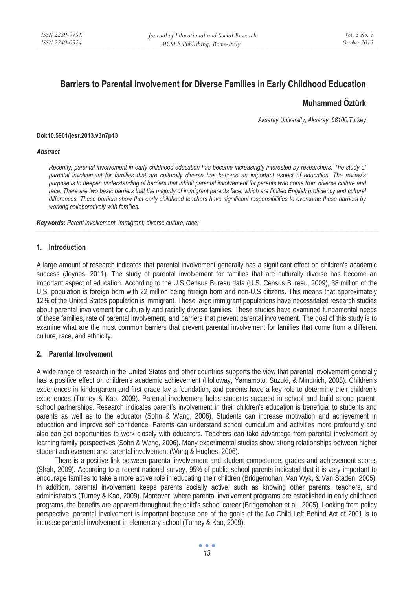# **Barriers to Parental Involvement for Diverse Families in Early Childhood Education**

## **Muhammed Öztürk**

*Aksaray University, Aksaray, 68100,Turkey* 

#### **Doi:10.5901/jesr.2013.v3n7p13**

#### *Abstract*

*Recently, parental involvement in early childhood education has become increasingly interested by researchers. The study of parental involvement for families that are culturally diverse has become an important aspect of education. The review's purpose is to deepen understanding of barriers that inhibit parental involvement for parents who come from diverse culture and*  race. There are two basic barriers that the majority of immigrant parents face, which are limited English proficiency and cultural *differences. These barriers show that early childhood teachers have significant responsibilities to overcome these barriers by working collaboratively with families.* 

*Keywords: Parent involvement, immigrant, diverse culture, race;* 

#### **1. Introduction**

A large amount of research indicates that parental involvement generally has a significant effect on children's academic success (Jeynes, 2011). The study of parental involvement for families that are culturally diverse has become an important aspect of education. According to the U.S Census Bureau data (U.S. Census Bureau, 2009), 38 million of the U.S. population is foreign born with 22 million being foreign born and non-U.S citizens. This means that approximately 12% of the United States population is immigrant. These large immigrant populations have necessitated research studies about parental involvement for culturally and racially diverse families. These studies have examined fundamental needs of these families, rate of parental involvement, and barriers that prevent parental involvement. The goal of this study is to examine what are the most common barriers that prevent parental involvement for families that come from a different culture, race, and ethnicity.

## **2. Parental Involvement**

A wide range of research in the United States and other countries supports the view that parental involvement generally has a positive effect on children's academic achievement (Holloway, Yamamoto, Suzuki, & Mindnich, 2008). Children's experiences in kindergarten and first grade lay a foundation, and parents have a key role to determine their children's experiences (Turney & Kao, 2009). Parental involvement helps students succeed in school and build strong parentschool partnerships. Research indicates parent's involvement in their children's education is beneficial to students and parents as well as to the educator (Sohn & Wang, 2006). Students can increase motivation and achievement in education and improve self confidence. Parents can understand school curriculum and activities more profoundly and also can get opportunities to work closely with educators. Teachers can take advantage from parental involvement by learning family perspectives (Sohn & Wang, 2006). Many experimental studies show strong relationships between higher student achievement and parental involvement (Wong & Hughes, 2006).

There is a positive link between parental involvement and student competence, grades and achievement scores (Shah, 2009). According to a recent national survey, 95% of public school parents indicated that it is very important to encourage families to take a more active role in educating their children (Bridgemohan, Van Wyk, & Van Staden, 2005). In addition, parental involvement keeps parents socially active, such as knowing other parents, teachers, and administrators (Turney & Kao, 2009). Moreover, where parental involvement programs are established in early childhood programs, the benefits are apparent throughout the child's school career (Bridgemohan et al., 2005). Looking from policy perspective, parental involvement is important because one of the goals of the No Child Left Behind Act of 2001 is to increase parental involvement in elementary school (Turney & Kao, 2009).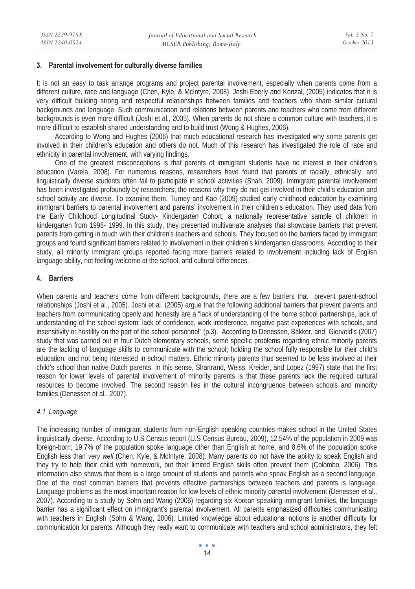#### **3. Parental involvement for culturally diverse families**

It is not an easy to task arrange programs and project parental involvement, especially when parents come from a different culture, race and language (Chen, Kyle, & McIntyre, 2008). Joshi Eberly and Konzal, (2005) indicates that it is very difficult building strong and respectful relationships between families and teachers who share similar cultural backgrounds and language. Such communication and relations between parents and teachers who come from different backgrounds is even more difficult (Joshi et al., 2005). When parents do not share a common culture with teachers, it is more difficult to establish shared understanding and to build trust (Wong & Hughes, 2006).

According to Wong and Hughes (2006) that much educational research has investigated why some parents get involved in their children's education and others do not. Much of this research has investigated the role of race and ethnicity in parental involvement, with varying findings.

One of the greatest misconceptions is that parents of immigrant students have no interest in their children's education (Varela, 2008). For numerous reasons, researchers have found that parents of racially, ethnically, and linguistically diverse students often fail to participate in school activities (Shah, 2009). Immigrant parental involvement has been investigated profoundly by researchers; the reasons why they do not get involved in their child's education and school activity are diverse. To examine them, Turney and Kao (2009) studied early childhood education by examining immigrant barriers to parental involvement and parents' involvement in their children's education. They used data from the Early Childhood Longitudinal Study- Kindergarten Cohort, a nationally representative sample of children in kindergarten from 1998- 1999. In this study, they presented multivariate analyses that showcase barriers that prevent parents from getting in touch with their children's teachers and schools. They focused on the barriers faced by immigrant groups and found significant barriers related to involvement in their children's kindergarten classrooms. According to their study, all minority immigrant groups reported facing more barriers related to involvement including lack of English language ability, not feeling welcome at the school, and cultural differences.

## **4. Barriers**

When parents and teachers come from different backgrounds, there are a few barriers that prevent parent-school relationships (Joshi et al., 2005). Joshi et al. (2005) argue that the following additional barriers that prevent parents and teachers from communicating openly and honestly are a "lack of understanding of the home school partnerships, lack of understanding of the school system; lack of confidence, work interference, negative past experiences with schools, and insensitivity or hostility on the part of the school personnel" (p.3). According to Denessen, Bakker, and Gierveld's (2007) study that was carried out in four Dutch elementary schools, some specific problems regarding ethnic minority parents are the lacking of language skills to communicate with the school; holding the school fully responsible for their child's education; and not being interested in school matters. Ethnic minority parents thus seemed to be less involved at their child's school than native Dutch parents. In this sense, Shartrand, Weiss, Kreider, and Lopez (1997) state that the first reason for lower levels of parental involvement of minority parents is that these parents lack the required cultural resources to become involved. The second reason lies in the cultural incongruence between schools and minority families (Denessen et al., 2007).

### *4.1 Language*

The increasing number of immigrant students from non-English speaking countries makes school in the United States linguistically diverse. According to U.S Census report (U.S Census Bureau, 2009), 12.54% of the population in 2009 was foreign-born; 19.7% of the population spoke language other than English at home, and 8.6% of the population spoke English less than *very well* (Chen, Kyle, & McIntyre, 2008). Many parents do not have the ability to speak English and they try to help their child with homework, but their limited English skills often prevent them (Colombo, 2006). This information also shows that there is a large amount of students and parents who speak English as a second language. One of the most common barriers that prevents effective partnerships between teachers and parents is language. Language problems as the most important reason for low levels of ethnic minority parental involvement (Denessen et al., 2007). According to a study by Sohn and Wang (2006) regarding six Korean speaking immigrant families, the language barrier has a significant effect on immigrant's parental involvement. All parents emphasized difficulties communicating with teachers in English (Sohn & Wang, 2006). Limited knowledge about educational notions is another difficulty for communication for parents. Although they really want to communicate with teachers and school administrators, they felt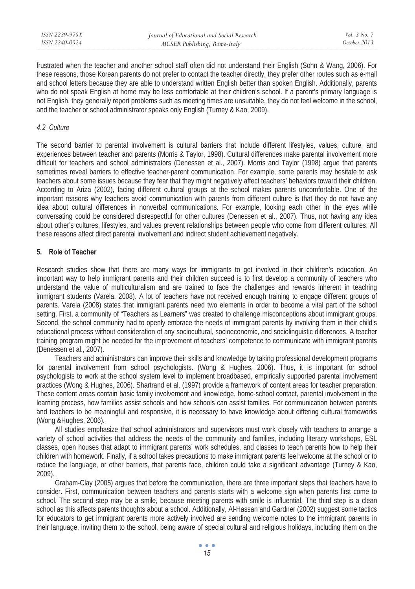frustrated when the teacher and another school staff often did not understand their English (Sohn & Wang, 2006). For these reasons, those Korean parents do not prefer to contact the teacher directly, they prefer other routes such as e-mail and school letters because they are able to understand written English better than spoken English. Additionally, parents who do not speak English at home may be less comfortable at their children's school. If a parent's primary language is not English, they generally report problems such as meeting times are unsuitable, they do not feel welcome in the school, and the teacher or school administrator speaks only English (Turney & Kao, 2009).

## *4.2 Culture*

The second barrier to parental involvement is cultural barriers that include different lifestyles, values, culture, and experiences between teacher and parents (Morris & Taylor, 1998). Cultural differences make parental involvement more difficult for teachers and school administrators (Denessen et al., 2007). Morris and Taylor (1998) argue that parents sometimes reveal barriers to effective teacher-parent communication. For example, some parents may hesitate to ask teachers about some issues because they fear that they might negatively affect teachers' behaviors toward their children. According to Ariza (2002), facing different cultural groups at the school makes parents uncomfortable. One of the important reasons why teachers avoid communication with parents from different culture is that they do not have any idea about cultural differences in nonverbal communications. For example, looking each other in the eyes while conversating could be considered disrespectful for other cultures (Denessen et al., 2007). Thus, not having any idea about other's cultures, lifestyles, and values prevent relationships between people who come from different cultures. All these reasons affect direct parental involvement and indirect student achievement negatively.

## **5. Role of Teacher**

Research studies show that there are many ways for immigrants to get involved in their children's education. An important way to help immigrant parents and their children succeed is to first develop a community of teachers who understand the value of multiculturalism and are trained to face the challenges and rewards inherent in teaching immigrant students (Varela, 2008). A lot of teachers have not received enough training to engage different groups of parents. Varela (2008) states that immigrant parents need two elements in order to become a vital part of the school setting. First, a community of "Teachers as Learners" was created to challenge misconceptions about immigrant groups. Second, the school community had to openly embrace the needs of immigrant parents by involving them in their child's educational process without consideration of any sociocultural, socioeconomic, and sociolinguistic differences. A teacher training program might be needed for the improvement of teachers' competence to communicate with immigrant parents (Denessen et al., 2007).

Teachers and administrators can improve their skills and knowledge by taking professional development programs for parental involvement from school psychologists. (Wong & Hughes, 2006). Thus, it is important for school psychologists to work at the school system level to implement broadbased, empirically supported parental involvement practices (Wong & Hughes, 2006). Shartrand et al. (1997) provide a framework of content areas for teacher preparation. These content areas contain basic family involvement and knowledge, home-school contact, parental involvement in the learning process, how families assist schools and how schools can assist families. For communication between parents and teachers to be meaningful and responsive, it is necessary to have knowledge about differing cultural frameworks (Wong &Hughes, 2006).

All studies emphasize that school administrators and supervisors must work closely with teachers to arrange a variety of school activities that address the needs of the community and families, including literacy workshops, ESL classes, open houses that adapt to immigrant parents' work schedules, and classes to teach parents how to help their children with homework. Finally, if a school takes precautions to make immigrant parents feel welcome at the school or to reduce the language, or other barriers, that parents face, children could take a significant advantage (Turney & Kao, 2009).

Graham-Clay (2005) argues that before the communication, there are three important steps that teachers have to consider. First, communication between teachers and parents starts with a welcome sign when parents first come to school. The second step may be a smile, because meeting parents with smile is influential. The third step is a clean school as this affects parents thoughts about a school. Additionally, Al-Hassan and Gardner (2002) suggest some tactics for educators to get immigrant parents more actively involved are sending welcome notes to the immigrant parents in their language, inviting them to the school, being aware of special cultural and religious holidays, including them on the